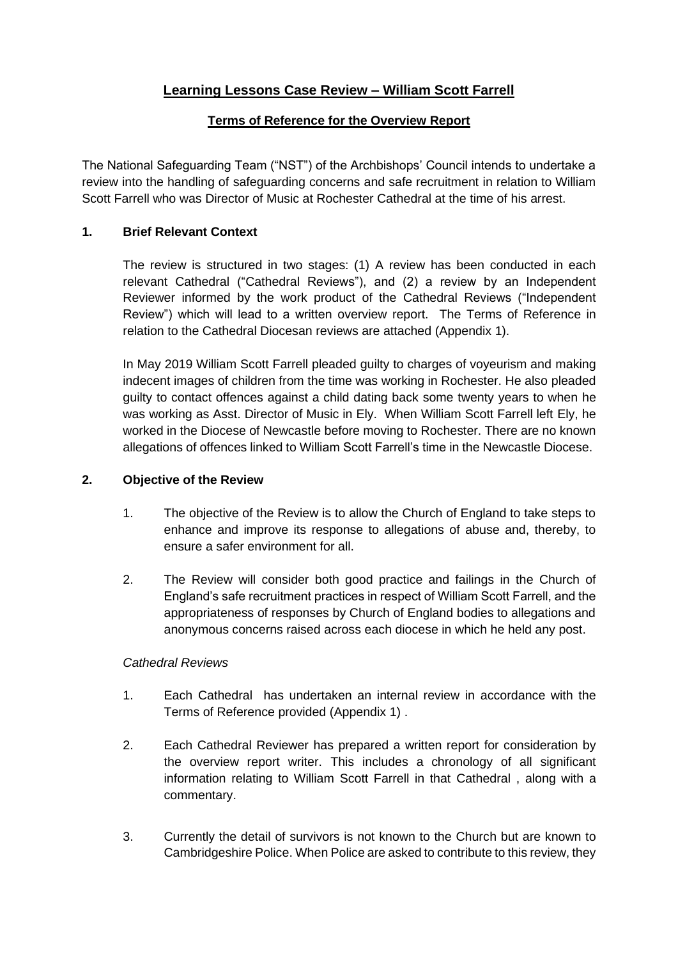# **Learning Lessons Case Review – William Scott Farrell**

## **Terms of Reference for the Overview Report**

The National Safeguarding Team ("NST") of the Archbishops' Council intends to undertake a review into the handling of safeguarding concerns and safe recruitment in relation to William Scott Farrell who was Director of Music at Rochester Cathedral at the time of his arrest.

### **1. Brief Relevant Context**

The review is structured in two stages: (1) A review has been conducted in each relevant Cathedral ("Cathedral Reviews"), and (2) a review by an Independent Reviewer informed by the work product of the Cathedral Reviews ("Independent Review") which will lead to a written overview report. The Terms of Reference in relation to the Cathedral Diocesan reviews are attached (Appendix 1).

In May 2019 William Scott Farrell pleaded guilty to charges of voyeurism and making indecent images of children from the time was working in Rochester. He also pleaded guilty to contact offences against a child dating back some twenty years to when he was working as Asst. Director of Music in Ely. When William Scott Farrell left Ely, he worked in the Diocese of Newcastle before moving to Rochester. There are no known allegations of offences linked to William Scott Farrell's time in the Newcastle Diocese.

### **2. Objective of the Review**

- 1. The objective of the Review is to allow the Church of England to take steps to enhance and improve its response to allegations of abuse and, thereby, to ensure a safer environment for all.
- 2. The Review will consider both good practice and failings in the Church of England's safe recruitment practices in respect of William Scott Farrell, and the appropriateness of responses by Church of England bodies to allegations and anonymous concerns raised across each diocese in which he held any post.

### *Cathedral Reviews*

- 1. Each Cathedral has undertaken an internal review in accordance with the Terms of Reference provided (Appendix 1) .
- 2. Each Cathedral Reviewer has prepared a written report for consideration by the overview report writer. This includes a chronology of all significant information relating to William Scott Farrell in that Cathedral , along with a commentary.
- 3. Currently the detail of survivors is not known to the Church but are known to Cambridgeshire Police. When Police are asked to contribute to this review, they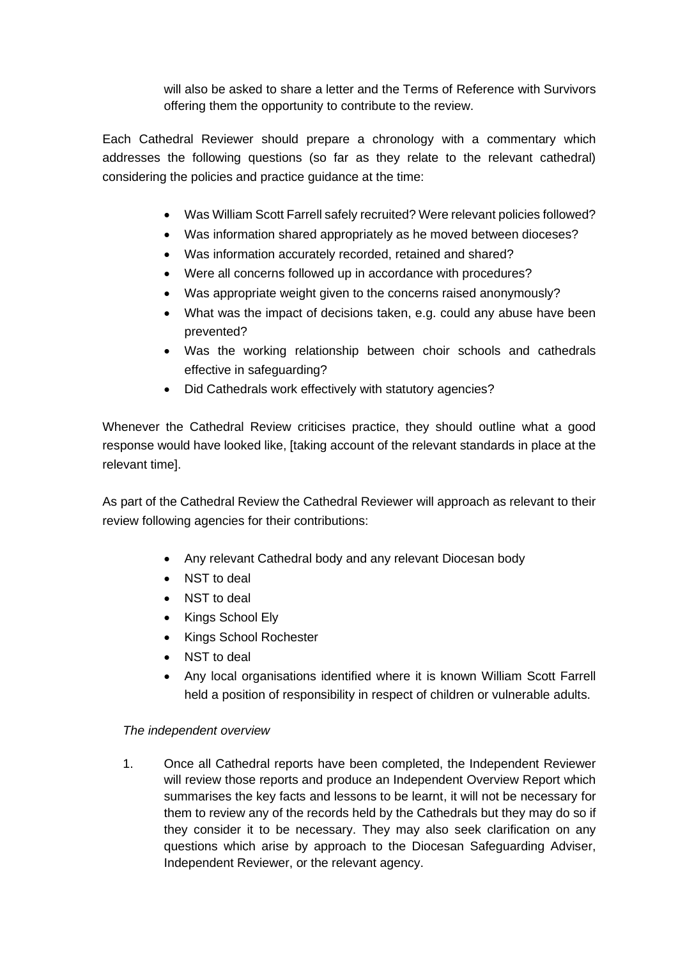will also be asked to share a letter and the Terms of Reference with Survivors offering them the opportunity to contribute to the review.

Each Cathedral Reviewer should prepare a chronology with a commentary which addresses the following questions (so far as they relate to the relevant cathedral) considering the policies and practice guidance at the time:

- Was William Scott Farrell safely recruited? Were relevant policies followed?
- Was information shared appropriately as he moved between dioceses?
- Was information accurately recorded, retained and shared?
- Were all concerns followed up in accordance with procedures?
- Was appropriate weight given to the concerns raised anonymously?
- What was the impact of decisions taken, e.g. could any abuse have been prevented?
- Was the working relationship between choir schools and cathedrals effective in safeguarding?
- Did Cathedrals work effectively with statutory agencies?

Whenever the Cathedral Review criticises practice, they should outline what a good response would have looked like, [taking account of the relevant standards in place at the relevant time].

As part of the Cathedral Review the Cathedral Reviewer will approach as relevant to their review following agencies for their contributions:

- Any relevant Cathedral body and any relevant Diocesan body
- NST to deal
- NST to deal
- Kings School Ely
- Kings School Rochester
- NST to deal
- Any local organisations identified where it is known William Scott Farrell held a position of responsibility in respect of children or vulnerable adults.

#### *The independent overview*

1. Once all Cathedral reports have been completed, the Independent Reviewer will review those reports and produce an Independent Overview Report which summarises the key facts and lessons to be learnt, it will not be necessary for them to review any of the records held by the Cathedrals but they may do so if they consider it to be necessary. They may also seek clarification on any questions which arise by approach to the Diocesan Safeguarding Adviser, Independent Reviewer, or the relevant agency.